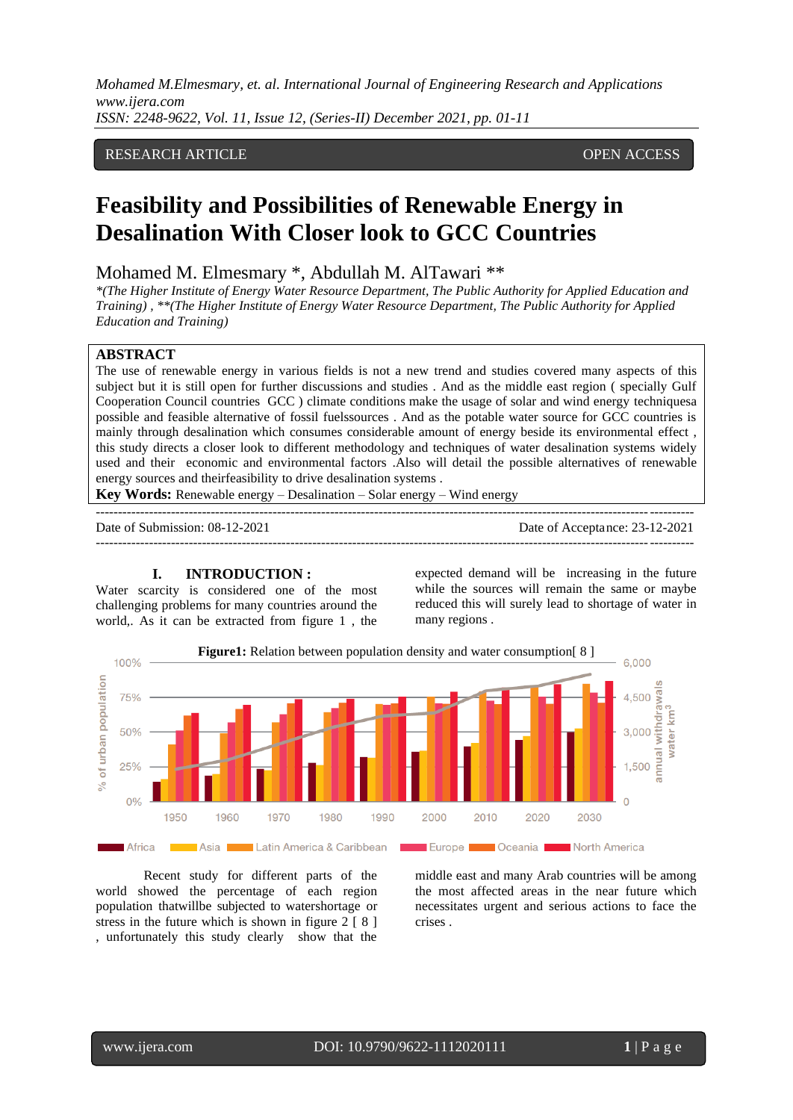# RESEARCH ARTICLE **CONTRACT ARTICLE**

# **Feasibility and Possibilities of Renewable Energy in Desalination With Closer look to GCC Countries**

# Mohamed M. Elmesmary \*, Abdullah M. AlTawari \*\*

*\*(The Higher Institute of Energy Water Resource Department, The Public Authority for Applied Education and Training) , \*\*(The Higher Institute of Energy Water Resource Department, The Public Authority for Applied Education and Training)*

## **ABSTRACT**

The use of renewable energy in various fields is not a new trend and studies covered many aspects of this subject but it is still open for further discussions and studies . And as the middle east region ( specially Gulf Cooperation Council countries GCC ) climate conditions make the usage of solar and wind energy techniquesa possible and feasible alternative of fossil fuelssources . And as the potable water source for GCC countries is mainly through desalination which consumes considerable amount of energy beside its environmental effect , this study directs a closer look to different methodology and techniques of water desalination systems widely used and their economic and environmental factors .Also will detail the possible alternatives of renewable energy sources and theirfeasibility to drive desalination systems .

---------------------------------------------------------------------------------------------------------------------------------------

**Key Words:** Renewable energy – Desalination – Solar energy – Wind energy

Date of Submission: 08-12-2021 Date of Acceptance: 23-12-2021 ---------------------------------------------------------------------------------------------------------------------------------------

## **I. INTRODUCTION :**

Water scarcity is considered one of the most challenging problems for many countries around the world,. As it can be extracted from figure 1 , the

expected demand will be increasing in the future while the sources will remain the same or maybe reduced this will surely lead to shortage of water in many regions .



Recent study for different parts of the world showed the percentage of each region population thatwillbe subjected to watershortage or stress in the future which is shown in figure  $2 \mid 8 \mid$ , unfortunately this study clearly show that the middle east and many Arab countries will be among the most affected areas in the near future which necessitates urgent and serious actions to face the crises .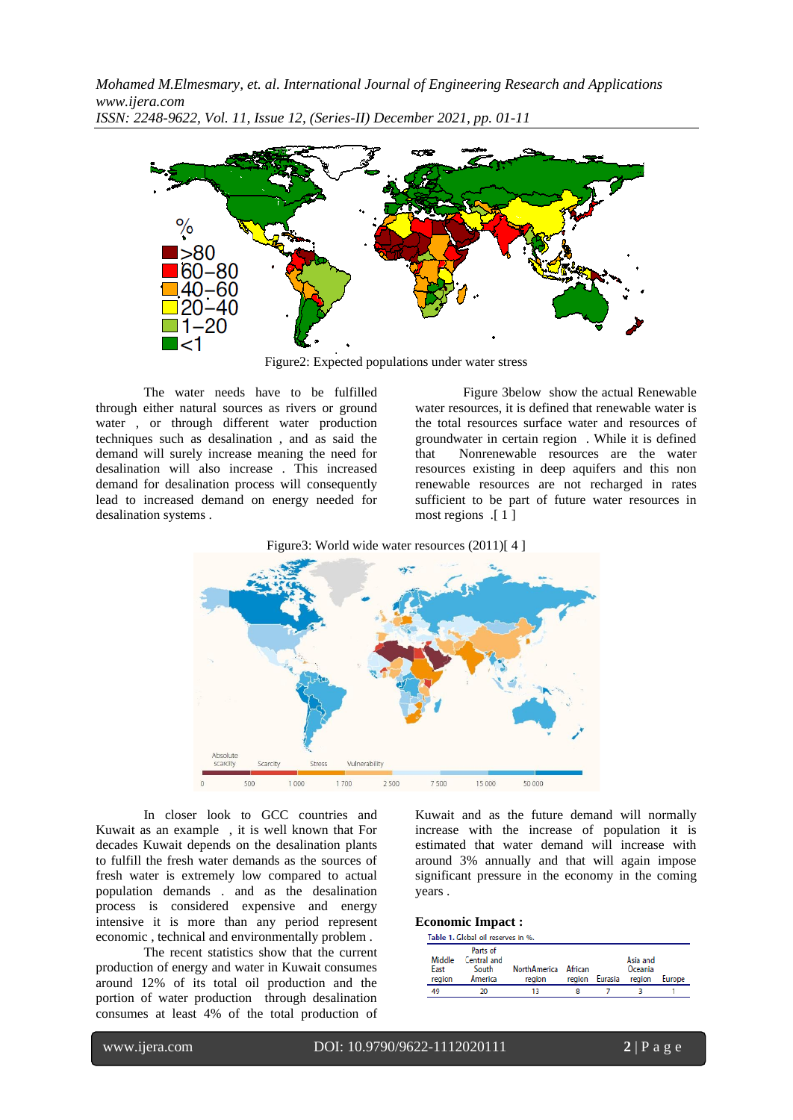

Figure2: Expected populations under water stress

The water needs have to be fulfilled through either natural sources as rivers or ground water , or through different water production techniques such as desalination , and as said the demand will surely increase meaning the need for desalination will also increase . This increased demand for desalination process will consequently lead to increased demand on energy needed for desalination systems .

[Figure 3b](#page-4-0)elow show the actual Renewable water resources, it is defined that renewable water is the total resources surface water and resources of groundwater in certain region . While it is defined that Nonrenewable resources are the water resources existing in deep aquifers and this non renewable resources are not recharged in rates sufficient to be part of future water resources in most regions .[ 1 ]

Figure3: World wide water resources (2011)[4]



In closer look to GCC countries and Kuwait as an example , it is well known that For decades Kuwait depends on the desalination plants to fulfill the fresh water demands as the sources of fresh water is extremely low compared to actual population demands . and as the desalination process is considered expensive and energy intensive it is more than any period represent economic , technical and environmentally problem .

The recent statistics show that the current production of energy and water in Kuwait consumes around 12% of its total oil production and the portion of water production through desalination consumes at least 4% of the total production of Kuwait and as the future demand will normally increase with the increase of population it is estimated that water demand will increase with around 3% annually and that will again impose significant pressure in the economy in the coming years .

#### **Economic Impact :**

|        | Table 1. Global oil reserves in %. |                     |         |         |          |        |  |  |  |  |  |  |
|--------|------------------------------------|---------------------|---------|---------|----------|--------|--|--|--|--|--|--|
|        | Parts of                           |                     |         |         |          |        |  |  |  |  |  |  |
| Middle | Central and                        |                     |         |         | Asia and |        |  |  |  |  |  |  |
| East   | South                              | <b>NorthAmerica</b> | African |         | Oceania  |        |  |  |  |  |  |  |
| region | America                            | region              | region  | Eurasia | region   | Europe |  |  |  |  |  |  |
| 49     | 20                                 |                     |         |         |          |        |  |  |  |  |  |  |

www.ijera.com DOI: 10.9790/9622-1112020111 **2** | P a g e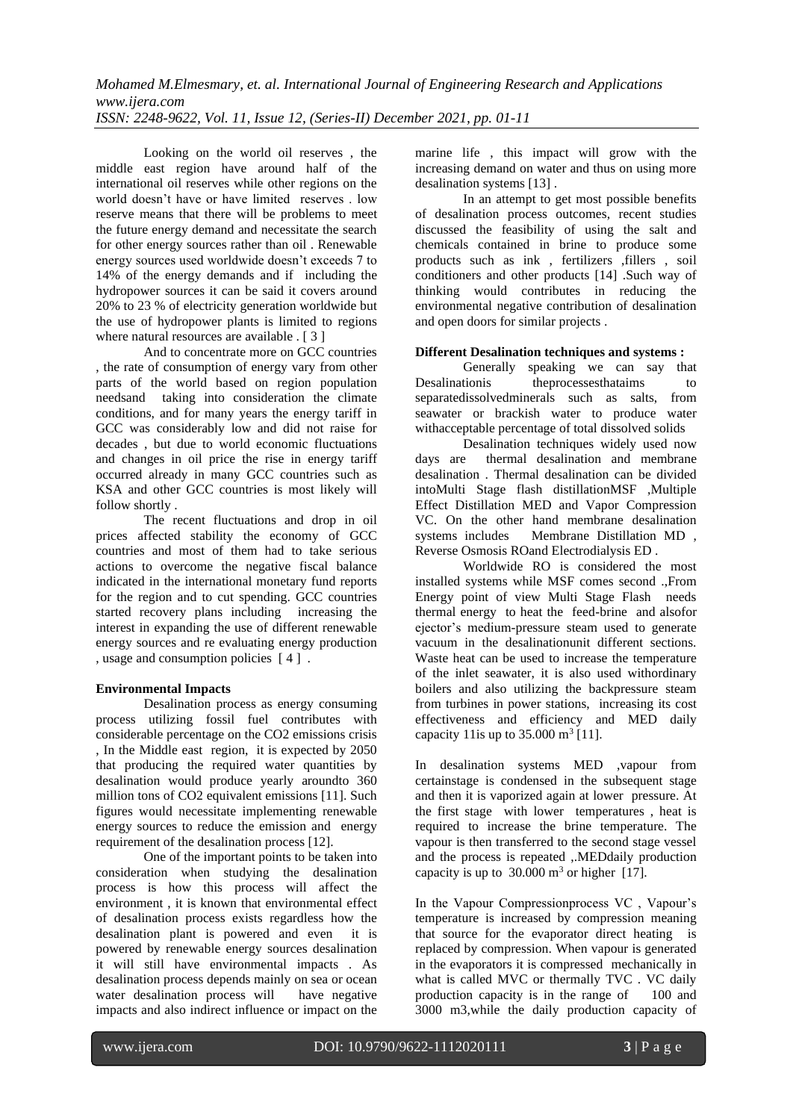Looking on the world oil reserves , the middle east region have around half of the international oil reserves while other regions on the world doesn't have or have limited reserves . low reserve means that there will be problems to meet the future energy demand and necessitate the search for other energy sources rather than oil . Renewable energy sources used worldwide doesn't exceeds 7 to 14% of the energy demands and if including the hydropower sources it can be said it covers around 20% to 23 % of electricity generation worldwide but the use of hydropower plants is limited to regions where natural resources are available . [ 3 ]

And to concentrate more on GCC countries , the rate of consumption of energy vary from other parts of the world based on region population needsand taking into consideration the climate conditions, and for many years the energy tariff in GCC was considerably low and did not raise for decades , but due to world economic fluctuations and changes in oil price the rise in energy tariff occurred already in many GCC countries such as KSA and other GCC countries is most likely will follow shortly .

The recent fluctuations and drop in oil prices affected stability the economy of GCC countries and most of them had to take serious actions to overcome the negative fiscal balance indicated in the international monetary fund reports for the region and to cut spending. GCC countries started recovery plans including increasing the interest in expanding the use of different renewable energy sources and re evaluating energy production , usage and consumption policies [ 4 ] .

### **Environmental Impacts**

Desalination process as energy consuming process utilizing fossil fuel contributes with considerable percentage on the CO2 emissions crisis , In the Middle east region, it is expected by 2050 that producing the required water quantities by desalination would produce yearly aroundto 360 million tons of CO2 equivalent emissions [11]. Such figures would necessitate implementing renewable energy sources to reduce the emission and energy requirement of the desalination process [12].

One of the important points to be taken into consideration when studying the desalination process is how this process will affect the environment , it is known that environmental effect of desalination process exists regardless how the desalination plant is powered and even it is powered by renewable energy sources desalination it will still have environmental impacts . As desalination process depends mainly on sea or ocean water desalination process will have negative impacts and also indirect influence or impact on the marine life , this impact will grow with the increasing demand on water and thus on using more desalination systems [13] .

In an attempt to get most possible benefits of desalination process outcomes, recent studies discussed the feasibility of using the salt and chemicals contained in brine to produce some products such as ink, fertilizers , fillers, soil conditioners and other products [14] .Such way of thinking would contributes in reducing the environmental negative contribution of desalination and open doors for similar projects .

#### **Different Desalination techniques and systems :**

Generally speaking we can say that Desalinationis theprocessesthataims to separatedissolvedminerals such as salts, from seawater or brackish water to produce water withacceptable percentage of total dissolved solids

Desalination techniques widely used now days are thermal desalination and membrane desalination . Thermal desalination can be divided intoMulti Stage flash distillationMSF ,Multiple Effect Distillation MED and Vapor Compression VC. On the other hand membrane desalination systems includes Membrane Distillation MD , Reverse Osmosis ROand Electrodialysis ED .

Worldwide RO is considered the most installed systems while MSF comes second .,From Energy point of view Multi Stage Flash needs thermal energy to heat the feed-brine and alsofor ejector's medium-pressure steam used to generate vacuum in the desalinationunit different sections. Waste heat can be used to increase the temperature of the inlet seawater, it is also used withordinary boilers and also utilizing the backpressure steam from turbines in power stations, increasing its cost effectiveness and efficiency and MED daily capacity 11 is up to  $35.000 \text{ m}^3$  [11].

In desalination systems MED ,vapour from certainstage is condensed in the subsequent stage and then it is vaporized again at lower pressure. At the first stage with lower temperatures , heat is required to increase the brine temperature. The vapour is then transferred to the second stage vessel and the process is repeated ,.MEDdaily production capacity is up to  $30.000 \text{ m}^3$  or higher [17].

In the Vapour Compressionprocess VC , Vapour's temperature is increased by compression meaning that source for the evaporator direct heating is replaced by compression. When vapour is generated in the evaporators it is compressed mechanically in what is called MVC or thermally TVC . VC daily production capacity is in the range of 100 and 3000 m3,while the daily production capacity of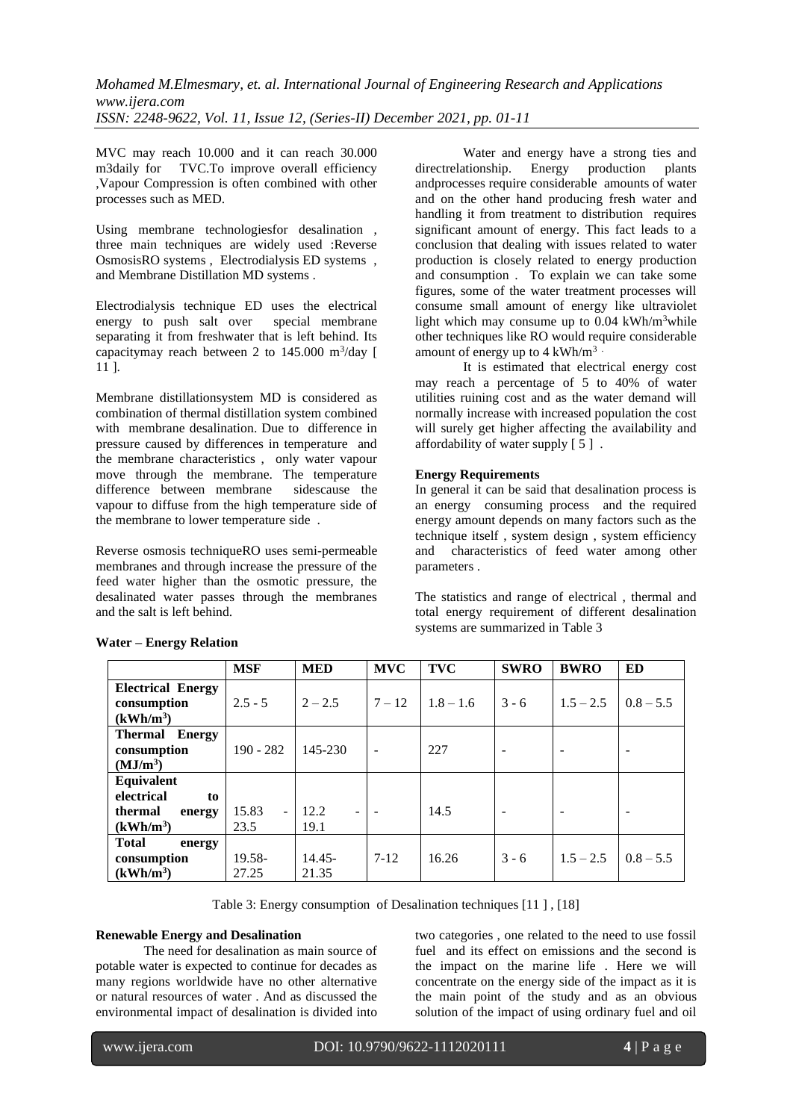MVC may reach 10.000 and it can reach 30.000 m3daily for TVC.To improve overall efficiency ,Vapour Compression is often combined with other processes such as MED.

Using membrane technologiesfor desalination , three main techniques are widely used :Reverse OsmosisRO systems , Electrodialysis ED systems , and Membrane Distillation MD systems .

Electrodialysis technique ED uses the electrical energy to push salt over special membrane separating it from freshwater that is left behind. Its capacitymay reach between 2 to  $145.000 \text{ m}^3/\text{day}$  [ 11 ].

Membrane distillationsystem MD is considered as combination of thermal distillation system combined with membrane desalination. Due to difference in pressure caused by differences in temperature and the membrane characteristics , only water vapour move through the membrane. The temperature difference between membrane sidescause the vapour to diffuse from the high temperature side of the membrane to lower temperature side .

Reverse osmosis techniqueRO uses semi-permeable membranes and through increase the pressure of the feed water higher than the osmotic pressure, the desalinated water passes through the membranes and the salt is left behind.

Water and energy have a strong ties and directrelationship. Energy production plants andprocesses require considerable amounts of water and on the other hand producing fresh water and handling it from treatment to distribution requires significant amount of energy. This fact leads to a conclusion that dealing with issues related to water production is closely related to energy production and consumption . To explain we can take some figures, some of the water treatment processes will consume small amount of energy like ultraviolet light which may consume up to  $0.04$  kWh/m<sup>3</sup>while other techniques like RO would require considerable amount of energy up to  $4 \text{ kWh/m}^3$ .

It is estimated that electrical energy cost may reach a percentage of 5 to 40% of water utilities ruining cost and as the water demand will normally increase with increased population the cost will surely get higher affecting the availability and affordability of water supply  $\lceil 5 \rceil$ .

# **Energy Requirements**

In general it can be said that desalination process is an energy consuming process and the required energy amount depends on many factors such as the technique itself , system design , system efficiency and characteristics of feed water among other parameters .

The statistics and range of electrical , thermal and total energy requirement of different desalination systems are summarized in Table 3

|                          | <b>MSF</b>  | <b>MED</b> | <b>MVC</b>               | <b>TVC</b>  | <b>SWRO</b> | <b>BWRO</b> | <b>ED</b>   |
|--------------------------|-------------|------------|--------------------------|-------------|-------------|-------------|-------------|
| <b>Electrical Energy</b> |             |            |                          |             |             |             |             |
| consumption              | $2.5 - 5$   | $2 - 2.5$  | $7 - 12$                 | $1.8 - 1.6$ | $3 - 6$     | $1.5 - 2.5$ | $0.8 - 5.5$ |
| $(kWh/m^3)$              |             |            |                          |             |             |             |             |
| <b>Thermal Energy</b>    |             |            |                          |             |             |             |             |
| consumption              | $190 - 282$ | 145-230    | $\overline{\phantom{a}}$ | 227         |             |             |             |
| (MJ/m <sup>3</sup> )     |             |            |                          |             |             |             |             |
| Equivalent               |             |            |                          |             |             |             |             |
| electrical<br>to         |             |            |                          |             |             |             |             |
| thermal<br>energy        | 15.83       | 12.2       |                          | 14.5        |             |             |             |
| $(kWh/m^3)$              | 23.5        | 19.1       |                          |             |             |             |             |
| <b>Total</b><br>energy   |             |            |                          |             |             |             |             |
| consumption              | 19.58-      | $14.45 -$  | $7 - 12$                 | 16.26       | $3 - 6$     | $1.5 - 2.5$ | $0.8 - 5.5$ |
| $(kWh/m^3)$              | 27.25       | 21.35      |                          |             |             |             |             |

# **Water – Energy Relation**

Table 3: Energy consumption of Desalination techniques [11 ] , [18]

### **Renewable Energy and Desalination**

The need for desalination as main source of potable water is expected to continue for decades as many regions worldwide have no other alternative or natural resources of water . And as discussed the environmental impact of desalination is divided into two categories , one related to the need to use fossil fuel and its effect on emissions and the second is the impact on the marine life . Here we will concentrate on the energy side of the impact as it is the main point of the study and as an obvious solution of the impact of using ordinary fuel and oil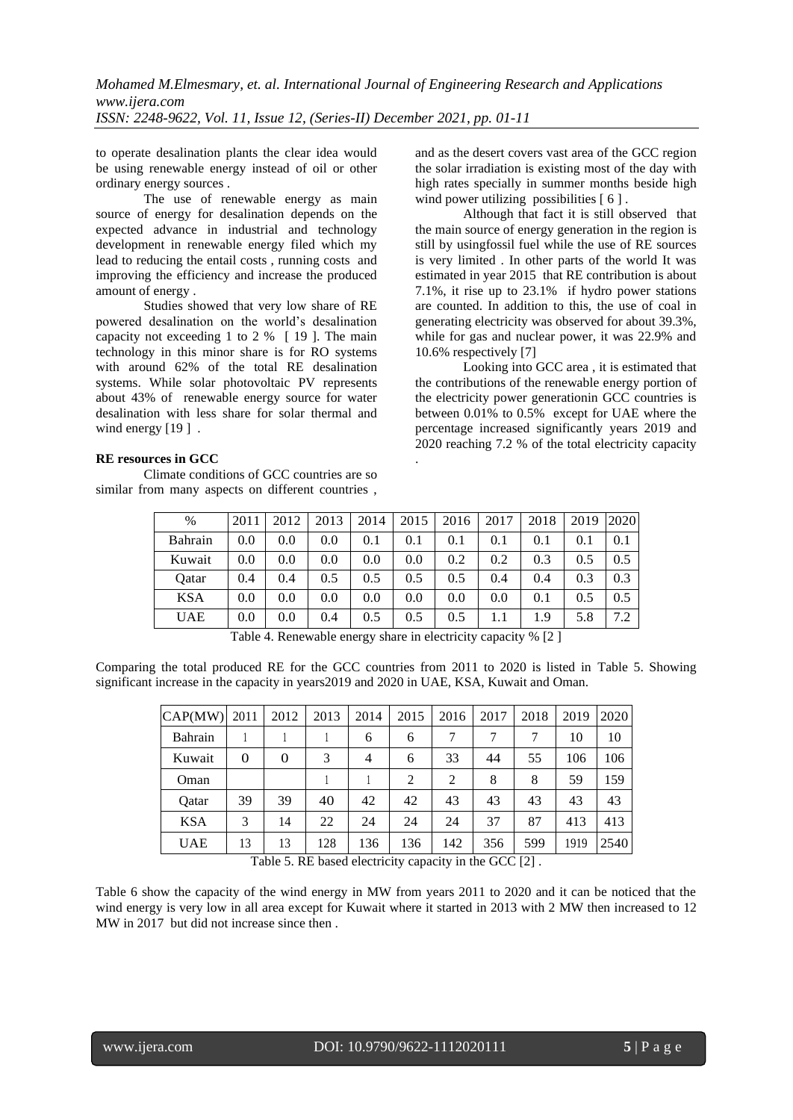to operate desalination plants the clear idea would be using renewable energy instead of oil or other ordinary energy sources .

The use of renewable energy as main source of energy for desalination depends on the expected advance in industrial and technology development in renewable energy filed which my lead to reducing the entail costs , running costs and improving the efficiency and increase the produced amount of energy .

Studies showed that very low share of RE powered desalination on the world's desalination capacity not exceeding 1 to 2 % [ 19 ]. The main technology in this minor share is for RO systems with around 62% of the total RE desalination systems. While solar photovoltaic PV represents about 43% of renewable energy source for water desalination with less share for solar thermal and wind energy [19].

#### **RE resources in GCC**

Climate conditions of GCC countries are so similar from many aspects on different countries , and as the desert covers vast area of the GCC region the solar irradiation is existing most of the day with high rates specially in summer months beside high wind power utilizing possibilities [ 6 ].

Although that fact it is still observed that the main source of energy generation in the region is still by usingfossil fuel while the use of RE sources is very limited . In other parts of the world It was estimated in year 2015 that RE contribution is about 7.1%, it rise up to 23.1% if hydro power stations are counted. In addition to this, the use of coal in generating electricity was observed for about 39.3%, while for gas and nuclear power, it was 22.9% and 10.6% respectively [7]

<span id="page-4-0"></span>Looking into GCC area , it is estimated that the contributions of the renewable energy portion of the electricity power generationin GCC countries is between 0.01% to 0.5% except for UAE where the percentage increased significantly years 2019 and 2020 reaching 7.2 % of the total electricity capacity .

| $\%$       | 2011        | 2012 | 2013 | 2014         | 2015 | 2016 | 2017 | 2018                                                    | 2019 | 2020 |
|------------|-------------|------|------|--------------|------|------|------|---------------------------------------------------------|------|------|
|            |             |      |      |              |      |      |      |                                                         |      |      |
| Bahrain    | 0.0         | 0.0  | 0.0  | 0.1          | 0.1  | 0.1  | 0.1  | 0.1                                                     | 0.1  | 0.1  |
| Kuwait     | 0.0         | 0.0  | 0.0  | 0.0          | 0.0  | 0.2  | 0.2  | 0.3                                                     | 0.5  | 0.5  |
| Oatar      | 0.4         | 0.4  | 0.5  | 0.5          | 0.5  | 0.5  | 0.4  | 0.4                                                     | 0.3  | 0.3  |
| <b>KSA</b> | 0.0         | 0.0  | 0.0  | 0.0          | 0.0  | 0.0  | 0.0  | 0.1                                                     | 0.5  | 0.5  |
| <b>UAE</b> | 0.0         | 0.0  | 0.4  | 0.5          | 0.5  | 0.5  |      | 1.9                                                     | 5.8  | 7.2  |
|            | $m + 1$ $n$ |      | 11   | $\mathbf{1}$ |      |      |      | $\cdot$ $\cdot$ $\cdot$ $\cdot$ $\cdot$ $\cdot$ $\cdot$ |      |      |

Table 4. Renewable energy share in electricity capacity % [2 ]

Comparing the total produced RE for the GCC countries from 2011 to 2020 is listed in Table 5. Showing significant increase in the capacity in years2019 and 2020 in UAE, KSA, Kuwait and Oman.

| 2011 | 2012     | 2013 | 2014 | 2015 | 2016 | 2017 | 2018 | 2019 | 2020 |
|------|----------|------|------|------|------|------|------|------|------|
|      |          |      | 6    | 6    |      | 7    |      | 10   | 10   |
| 0    | $\Omega$ | 3    | 4    | 6    | 33   | 44   | 55   | 106  | 106  |
|      |          |      |      | 2    | 2    | 8    | 8    | 59   | 159  |
| 39   | 39       | 40   | 42   | 42   | 43   | 43   | 43   | 43   | 43   |
| 3    | 14       | 22   | 24   | 24   | 24   | 37   | 87   | 413  | 413  |
| 13   | 13       | 128  | 136  | 136  | 142  | 356  | 599  | 1919 | 2540 |
|      |          |      |      |      |      |      |      |      |      |

Table 5. RE based electricity capacity in the GCC [2] .

Table 6 show the capacity of the wind energy in MW from years 2011 to 2020 and it can be noticed that the wind energy is very low in all area except for Kuwait where it started in 2013 with 2 MW then increased to 12 MW in 2017 but did not increase since then .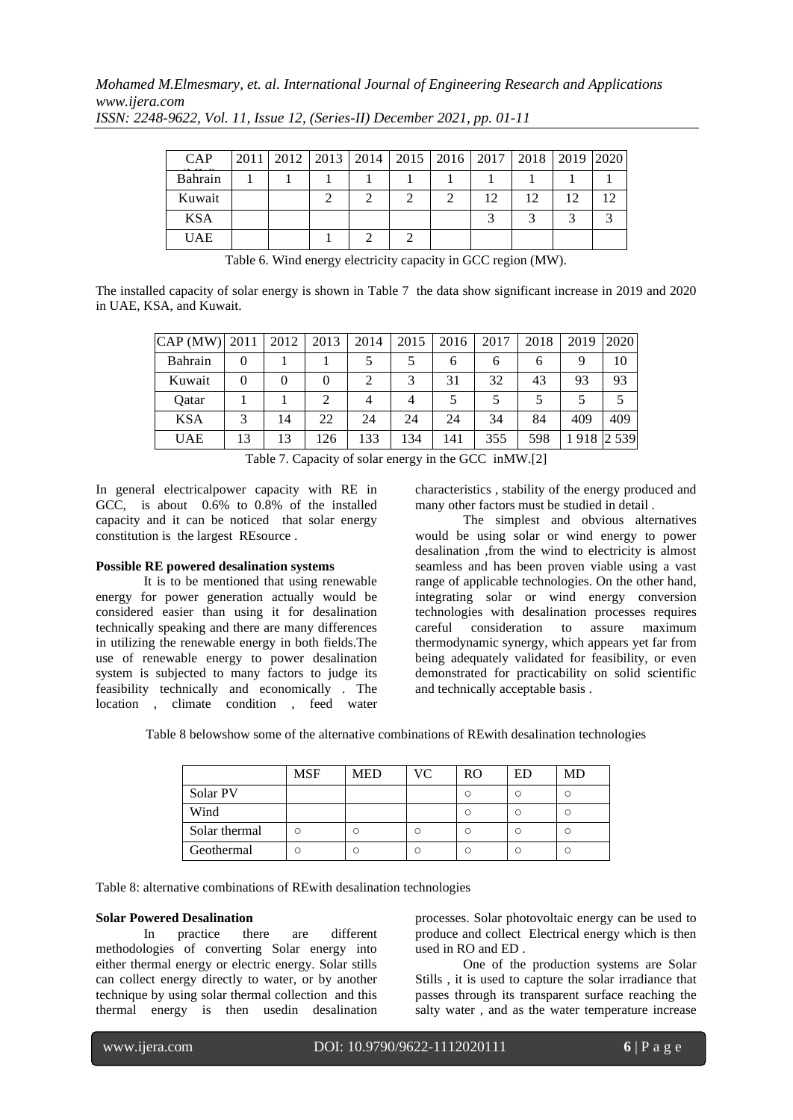*Mohamed M.Elmesmary, et. al. International Journal of Engineering Research and Applications www.ijera.com*

| <b>CAP</b> |  |  | 2011   2012   2013   2014   2015   2016   2017   2018   2019   2020 |    |    |    |    |
|------------|--|--|---------------------------------------------------------------------|----|----|----|----|
| Bahrain    |  |  |                                                                     |    |    |    |    |
| Kuwait     |  |  |                                                                     | 12 | 12 | 12 | ∩ו |
| <b>KSA</b> |  |  |                                                                     |    |    |    |    |
| <b>UAE</b> |  |  |                                                                     |    |    |    |    |

*ISSN: 2248-9622, Vol. 11, Issue 12, (Series-II) December 2021, pp. 01-11*

Table 6. Wind energy electricity capacity in GCC region (MW).

The installed capacity of solar energy is shown in Table 7 the data show significant increase in 2019 and 2020 in UAE, KSA, and Kuwait.

| $CAP$ (MW) | 2011     | 2012 | 2013     | 2014 | 2015 | 2016 | 2017 | 2018 | 2019 | 2020    |
|------------|----------|------|----------|------|------|------|------|------|------|---------|
| Bahrain    | $\theta$ |      |          |      |      | o    | o    | h    | 9    | 10      |
| Kuwait     | $\theta$ | 0    | $\theta$ |      | 3    | 31   | 32   | 43   | 93   | 93      |
| Oatar      |          |      | 2        |      |      |      |      |      |      |         |
| <b>KSA</b> | 3        | 14   | 22       | 24   | 24   | 24   | 34   | 84   | 409  | 409     |
| <b>UAE</b> | 13       | 13   | 126      | 133  | 134  | 141  | 355  | 598  | 918  | 2 5 3 9 |

Table 7. Capacity of solar energy in the GCC inMW.[2]

In general electricalpower capacity with RE in GCC, is about 0.6% to 0.8% of the installed capacity and it can be noticed that solar energy constitution is the largest REsource .

### **Possible RE powered desalination systems**

It is to be mentioned that using renewable energy for power generation actually would be considered easier than using it for desalination technically speaking and there are many differences in utilizing the renewable energy in both fields.The use of renewable energy to power desalination system is subjected to many factors to judge its feasibility technically and economically . The location , climate condition , feed water characteristics , stability of the energy produced and many other factors must be studied in detail .

The simplest and obvious alternatives would be using solar or wind energy to power desalination ,from the wind to electricity is almost seamless and has been proven viable using a vast range of applicable technologies. On the other hand, integrating solar or wind energy conversion technologies with desalination processes requires careful consideration to assure maximum thermodynamic synergy, which appears yet far from being adequately validated for feasibility, or even demonstrated for practicability on solid scientific and technically acceptable basis .

Table 8 belowshow some of the alternative combinations of REwith desalination technologies

|               | <b>MSF</b> | <b>MED</b> | VC. | RO | ED | MD |
|---------------|------------|------------|-----|----|----|----|
| Solar PV      |            |            |     |    |    |    |
| Wind          |            |            |     |    |    |    |
| Solar thermal |            |            |     |    |    |    |
| Geothermal    | C.         |            |     |    |    |    |

Table 8: alternative combinations of REwith desalination technologies

#### **Solar Powered Desalination**

In practice there are different methodologies of converting Solar energy into either thermal energy or electric energy. Solar stills can collect energy directly to water, or by another technique by using solar thermal collection and this thermal energy is then usedin desalination processes. Solar photovoltaic energy can be used to produce and collect Electrical energy which is then used in RO and ED .

One of the production systems are Solar Stills , it is used to capture the solar irradiance that passes through its transparent surface reaching the salty water , and as the water temperature increase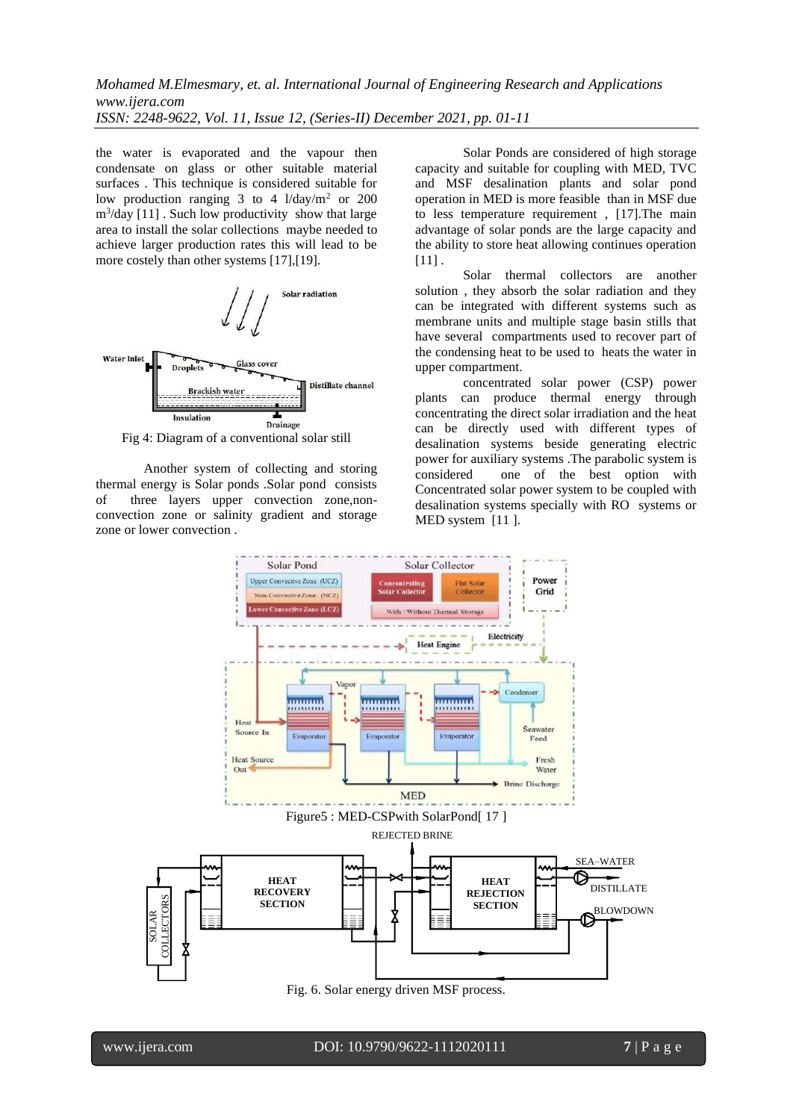the water is evaporated and the vapour then condensate on glass or other suitable material surfaces . This technique is considered suitable for low production ranging 3 to 4  $1/day/m^2$  or 200 m<sup>3</sup> /day [11] . Such low productivity show that large area to install the solar collections maybe needed to achieve larger production rates this will lead to be more costely than other systems [17], [19].



Fig 4: Diagram of a conventional solar still

Another system of collecting and storing thermal energy is Solar ponds .Solar pond consists of three layers upper convection zone,nonconvection zone or salinity gradient and storage zone or lower convection .

Solar Ponds are considered of high storage capacity and suitable for coupling with MED, TVC and MSF desalination plants and solar pond operation in MED is more feasible than in MSF due to less temperature requirement , [17].The main advantage of solar ponds are the large capacity and the ability to store heat allowing continues operation  $[11]$ .

Solar thermal collectors are another solution , they absorb the solar radiation and they can be integrated with different systems such as membrane units and multiple stage basin stills that have several compartments used to recover part of the condensing heat to be used to heats the water in upper compartment.

concentrated solar power (CSP) power plants can produce thermal energy through concentrating the direct solar irradiation and the heat can be directly used with different types of desalination systems beside generating electric power for auxiliary systems .The parabolic system is considered one of the best option with Concentrated solar power system to be coupled with desalination systems specially with RO systems or MED system [11 ].



Fig. 6. Solar energy driven MSF process.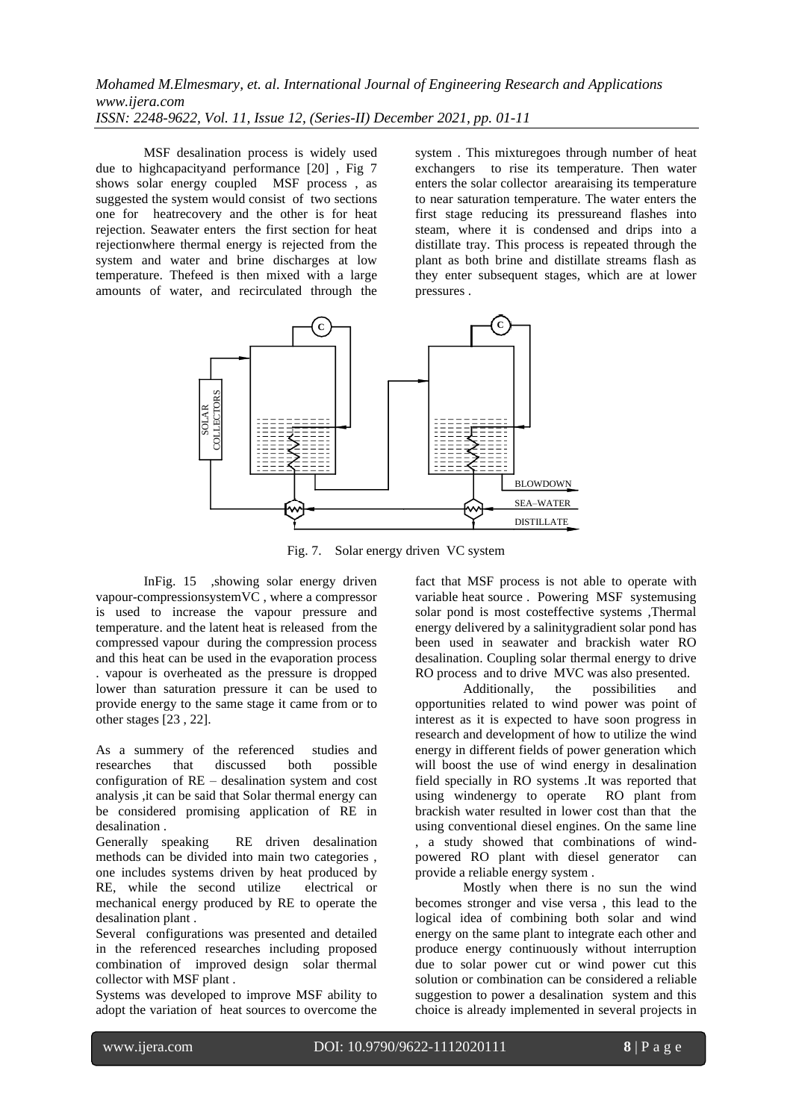MSF desalination process is widely used due to highcapacityand performance [20] , Fig 7 shows solar energy coupled MSF process , as suggested the system would consist of two sections one for heatrecovery and the other is for heat rejection. Seawater enters the first section for heat rejectionwhere thermal energy is rejected from the system and water and brine discharges at low temperature. Thefeed is then mixed with a large amounts of water, and recirculated through the system . This mixturegoes through number of heat exchangers to rise its temperature. Then water enters the solar collector arearaising its temperature to near saturation temperature. The water enters the first stage reducing its pressureand flashes into steam, where it is condensed and drips into a distillate tray. This process is repeated through the plant as both brine and distillate streams flash as they enter subsequent stages, which are at lower pressures .



Fig. 7. Solar energy driven VC system

InFig. 15 , showing solar energy driven vapour-compressionsystemVC , where a compressor is used to increase the vapour pressure and temperature. and the latent heat is released from the compressed vapour during the compression process and this heat can be used in the evaporation process . vapour is overheated as the pressure is dropped lower than saturation pressure it can be used to provide energy to the same stage it came from or to other stages [23 , 22].

As a summery of the referenced studies and researches that discussed both possible configuration of RE – desalination system and cost analysis ,it can be said that Solar thermal energy can be considered promising application of RE in desalination .

Generally speaking RE driven desalination methods can be divided into main two categories , one includes systems driven by heat produced by RE, while the second utilize electrical or mechanical energy produced by RE to operate the desalination plant .

Several configurations was presented and detailed in the referenced researches including proposed combination of improved design solar thermal collector with MSF plant .

Systems was developed to improve MSF ability to adopt the variation of heat sources to overcome the fact that MSF process is not able to operate with variable heat source . Powering MSF systemusing solar pond is most costeffective systems ,Thermal energy delivered by a salinitygradient solar pond has been used in seawater and brackish water RO desalination. Coupling solar thermal energy to drive RO process and to drive MVC was also presented.

Additionally, the possibilities and opportunities related to wind power was point of interest as it is expected to have soon progress in research and development of how to utilize the wind energy in different fields of power generation which will boost the use of wind energy in desalination field specially in RO systems .It was reported that using windenergy to operate RO plant from brackish water resulted in lower cost than that the using conventional diesel engines. On the same line , a study showed that combinations of windpowered RO plant with diesel generator can provide a reliable energy system .

Mostly when there is no sun the wind becomes stronger and vise versa , this lead to the logical idea of combining both solar and wind energy on the same plant to integrate each other and produce energy continuously without interruption due to solar power cut or wind power cut this solution or combination can be considered a reliable suggestion to power a desalination system and this choice is already implemented in several projects in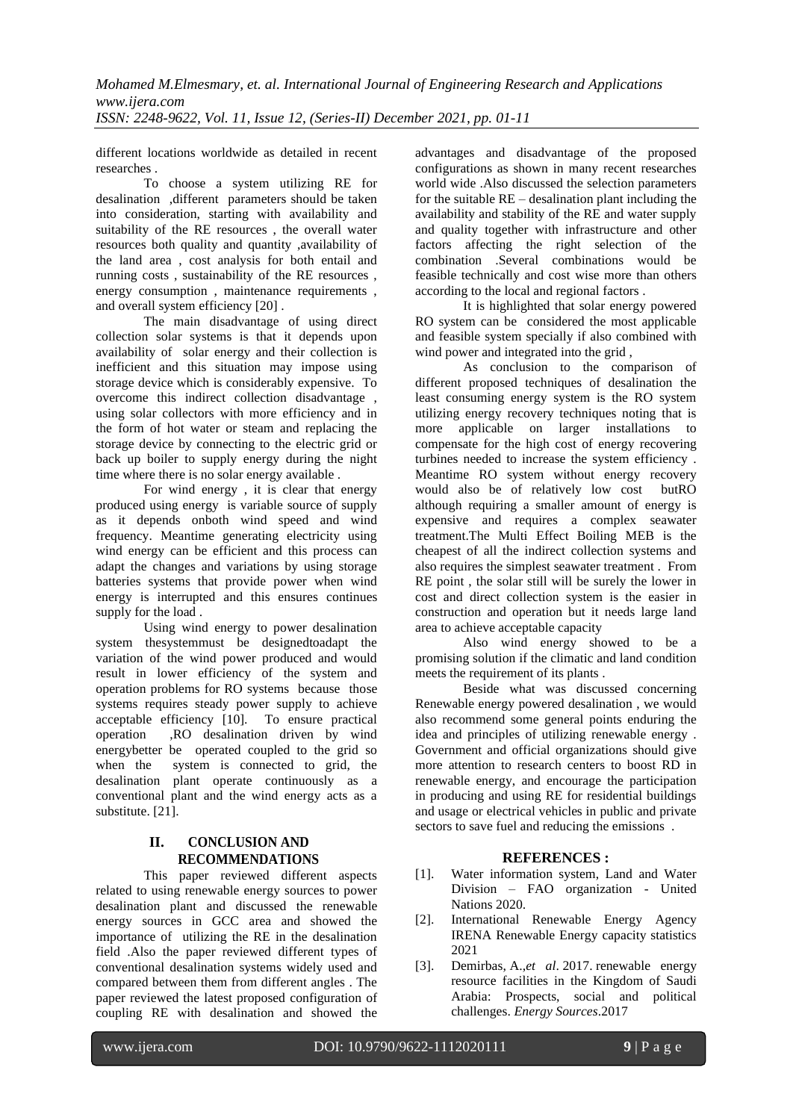different locations worldwide as detailed in recent researches .

To choose a system utilizing RE for desalination ,different parameters should be taken into consideration, starting with availability and suitability of the RE resources , the overall water resources both quality and quantity ,availability of the land area , cost analysis for both entail and running costs , sustainability of the RE resources , energy consumption , maintenance requirements , and overall system efficiency [20] .

The main disadvantage of using direct collection solar systems is that it depends upon availability of solar energy and their collection is inefficient and this situation may impose using storage device which is considerably expensive. To overcome this indirect collection disadvantage , using solar collectors with more efficiency and in the form of hot water or steam and replacing the storage device by connecting to the electric grid or back up boiler to supply energy during the night time where there is no solar energy available .

For wind energy , it is clear that energy produced using energy is variable source of supply as it depends onboth wind speed and wind frequency. Meantime generating electricity using wind energy can be efficient and this process can adapt the changes and variations by using storage batteries systems that provide power when wind energy is interrupted and this ensures continues supply for the load .

Using wind energy to power desalination system thesystemmust be designedtoadapt the variation of the wind power produced and would result in lower efficiency of the system and operation problems for RO systems because those systems requires steady power supply to achieve acceptable efficiency [10]. To ensure practical operation ,RO desalination driven by wind energybetter be operated coupled to the grid so when the system is connected to grid, the desalination plant operate continuously as a conventional plant and the wind energy acts as a substitute. [21].

# **II. CONCLUSION AND RECOMMENDATIONS**

This paper reviewed different aspects related to using renewable energy sources to power desalination plant and discussed the renewable energy sources in GCC area and showed the importance of utilizing the RE in the desalination field .Also the paper reviewed different types of conventional desalination systems widely used and compared between them from different angles . The paper reviewed the latest proposed configuration of coupling RE with desalination and showed the

advantages and disadvantage of the proposed configurations as shown in many recent researches world wide .Also discussed the selection parameters for the suitable  $RE - desalination$  plant including the availability and stability of the RE and water supply and quality together with infrastructure and other factors affecting the right selection of the combination .Several combinations would be feasible technically and cost wise more than others according to the local and regional factors .

It is highlighted that solar energy powered RO system can be considered the most applicable and feasible system specially if also combined with wind power and integrated into the grid,

As conclusion to the comparison of different proposed techniques of desalination the least consuming energy system is the RO system utilizing energy recovery techniques noting that is more applicable on larger installations to compensate for the high cost of energy recovering turbines needed to increase the system efficiency . Meantime RO system without energy recovery would also be of relatively low cost butRO although requiring a smaller amount of energy is expensive and requires a complex seawater treatment.The Multi Effect Boiling MEB is the cheapest of all the indirect collection systems and also requires the simplest seawater treatment . From RE point , the solar still will be surely the lower in cost and direct collection system is the easier in construction and operation but it needs large land area to achieve acceptable capacity

Also wind energy showed to be a promising solution if the climatic and land condition meets the requirement of its plants .

Beside what was discussed concerning Renewable energy powered desalination , we would also recommend some general points enduring the idea and principles of utilizing renewable energy . Government and official organizations should give more attention to research centers to boost RD in renewable energy, and encourage the participation in producing and using RE for residential buildings and usage or electrical vehicles in public and private sectors to save fuel and reducing the emissions .

# **REFERENCES :**

- [1]. Water information system, Land and Water Division – FAO organization - United Nations 2020.
- [2]. International Renewable Energy Agency IRENA Renewable Energy capacity statistics 2021
- [3]. Demirbas, A.,*et al*. 2017. renewable energy resource facilities in the Kingdom of Saudi Arabia: Prospects, social and political challenges. *Energy Sources*.2017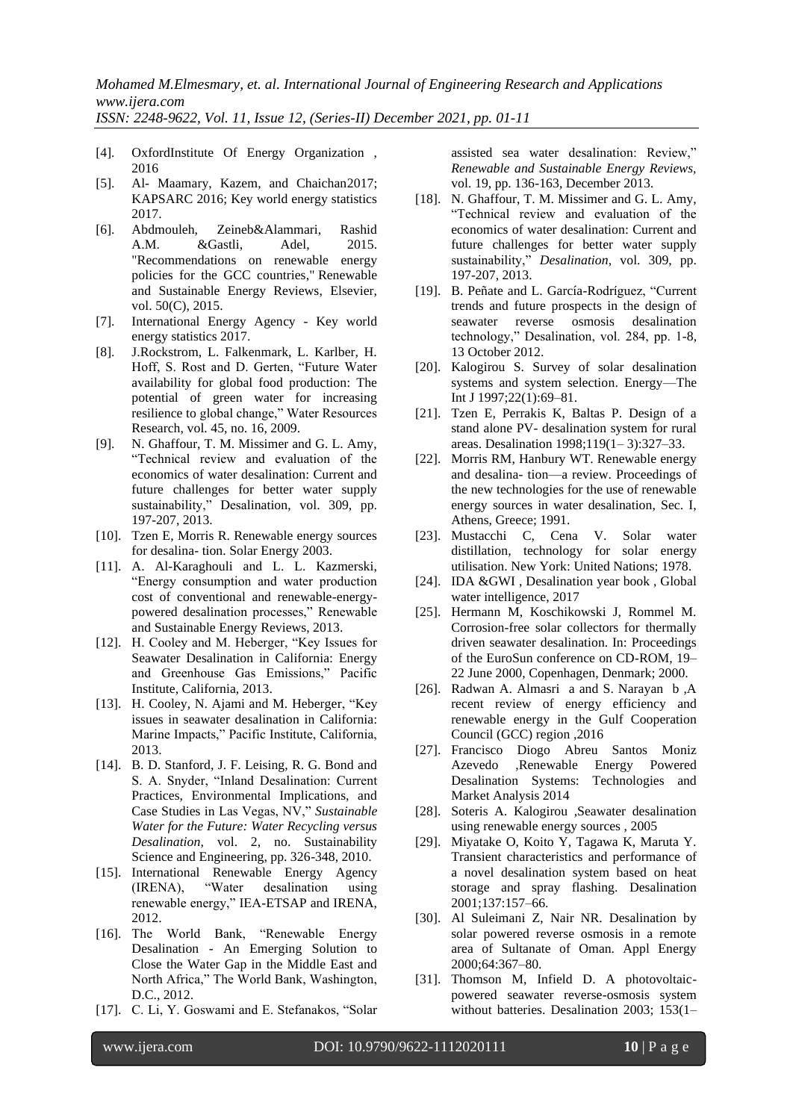- [4]. OxfordInstitute Of Energy Organization , 2016
- [5]. Al- Maamary, Kazem, and Chaichan2017; KAPSARC 2016; Key world energy statistics 2017.
- [6]. Abdmouleh, Zeineb&Alammari, Rashid A.M. &Gastli, Adel, 2015. ["Recommendations on renewable energy](https://ideas.repec.org/a/eee/rensus/v50y2015icp1181-1191.html)  [policies for the GCC countries,](https://ideas.repec.org/a/eee/rensus/v50y2015icp1181-1191.html)" [Renewable](https://ideas.repec.org/s/eee/rensus.html)  [and Sustainable Energy Reviews,](https://ideas.repec.org/s/eee/rensus.html) Elsevier, vol. 50(C), 2015.
- [7]. International Energy Agency Key world energy statistics 2017.
- [8]. J.Rockstrom, L. Falkenmark, L. Karlber, H. Hoff, S. Rost and D. Gerten, "Future Water availability for global food production: The potential of green water for increasing resilience to global change," Water Resources Research, vol. 45, no. 16, 2009.
- [9]. N. Ghaffour, T. M. Missimer and G. L. Amy, "Technical review and evaluation of the economics of water desalination: Current and future challenges for better water supply sustainability," Desalination, vol. 309, pp. 197-207, 2013.
- [10]. Tzen E, Morris R. Renewable energy sources for desalina- tion. Solar Energy 2003.
- [11]. A. Al-Karaghouli and L. L. Kazmerski, "Energy consumption and water production cost of conventional and renewable-energypowered desalination processes," Renewable and Sustainable Energy Reviews, 2013.
- [12]. H. Cooley and M. Heberger, "Key Issues for Seawater Desalination in California: Energy and Greenhouse Gas Emissions," Pacific Institute, California, 2013.
- [13]. H. Cooley, N. Ajami and M. Heberger, "Key issues in seawater desalination in California: Marine Impacts," Pacific Institute, California, 2013.
- [14]. B. D. Stanford, J. F. Leising, R. G. Bond and S. A. Snyder, "Inland Desalination: Current Practices, Environmental Implications, and Case Studies in Las Vegas, NV," *Sustainable Water for the Future: Water Recycling versus Desalination,* vol. 2, no. Sustainability Science and Engineering, pp. 326-348, 2010.
- [15]. International Renewable Energy Agency<br>(IRENA), "Water desalination using (IRENA), "Water desalination using renewable energy," IEA-ETSAP and IRENA, 2012.
- [16]. The World Bank, "Renewable Energy Desalination - An Emerging Solution to Close the Water Gap in the Middle East and North Africa," The World Bank, Washington, D.C., 2012.
- [17]. C. Li, Y. Goswami and E. Stefanakos, "Solar

assisted sea water desalination: Review," *Renewable and Sustainable Energy Reviews,*  vol. 19, pp. 136-163, December 2013.

- [18]. N. Ghaffour, T. M. Missimer and G. L. Amy, "Technical review and evaluation of the economics of water desalination: Current and future challenges for better water supply sustainability," *Desalination,* vol. 309, pp. 197-207, 2013.
- [19]. B. Peñate and L. García-Rodríguez, "Current trends and future prospects in the design of seawater reverse osmosis desalination technology," Desalination, vol. 284, pp. 1-8, 13 October 2012.
- [20]. Kalogirou S. Survey of solar desalination systems and system selection. Energy—The Int J 1997;22(1):69–81.
- [21]. Tzen E, Perrakis K, Baltas P. Design of a stand alone PV- desalination system for rural areas. Desalination 1998;119(1– 3):327–33.
- [22]. Morris RM, Hanbury WT. Renewable energy and desalina- tion—a review. Proceedings of the new technologies for the use of renewable energy sources in water desalination, Sec. I, Athens, Greece; 1991.
- [23]. Mustacchi C, Cena V. Solar water distillation, technology for solar energy utilisation. New York: United Nations; 1978.
- [24]. IDA &GWI, Desalination year book, Global water intelligence, 2017
- [25]. Hermann M, Koschikowski J, Rommel M. Corrosion-free solar collectors for thermally driven seawater desalination. In: Proceedings of the EuroSun conference on CD-ROM, 19– 22 June 2000, Copenhagen, Denmark; 2000.
- [26]. Radwan A. Almasri a and S. Narayan b ,A recent review of energy efficiency and renewable energy in the Gulf Cooperation Council (GCC) region ,2016
- [27]. Francisco Diogo Abreu Santos Moniz Azevedo ,Renewable Energy Powered Desalination Systems: Technologies and Market Analysis 2014
- [28]. Soteris A. Kalogirou ,Seawater desalination using renewable energy sources , 2005
- [29]. Miyatake O, Koito Y, Tagawa K, Maruta Y. Transient characteristics and performance of a novel desalination system based on heat storage and spray flashing. Desalination 2001;137:157–66.
- [30]. Al Suleimani Z, Nair NR. Desalination by solar powered reverse osmosis in a remote area of Sultanate of Oman. Appl Energy 2000;64:367–80.
- [31]. Thomson M, Infield D. A photovoltaicpowered seawater reverse-osmosis system without batteries. Desalination 2003; 153(1–